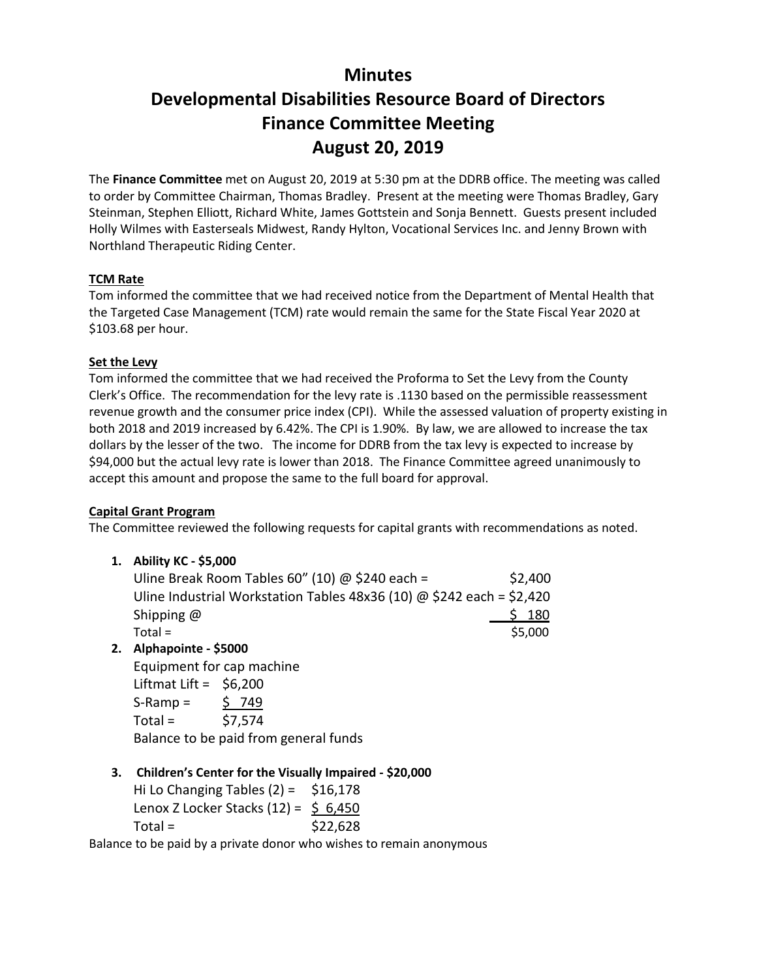# **Minutes Developmental Disabilities Resource Board of Directors Finance Committee Meeting August 20, 2019**

The **Finance Committee** met on August 20, 2019 at 5:30 pm at the DDRB office. The meeting was called to order by Committee Chairman, Thomas Bradley. Present at the meeting were Thomas Bradley, Gary Steinman, Stephen Elliott, Richard White, James Gottstein and Sonja Bennett. Guests present included Holly Wilmes with Easterseals Midwest, Randy Hylton, Vocational Services Inc. and Jenny Brown with Northland Therapeutic Riding Center.

## **TCM Rate**

Tom informed the committee that we had received notice from the Department of Mental Health that the Targeted Case Management (TCM) rate would remain the same for the State Fiscal Year 2020 at \$103.68 per hour.

## **Set the Levy**

Tom informed the committee that we had received the Proforma to Set the Levy from the County Clerk's Office. The recommendation for the levy rate is .1130 based on the permissible reassessment revenue growth and the consumer price index (CPI). While the assessed valuation of property existing in both 2018 and 2019 increased by 6.42%. The CPI is 1.90%. By law, we are allowed to increase the tax dollars by the lesser of the two. The income for DDRB from the tax levy is expected to increase by \$94,000 but the actual levy rate is lower than 2018. The Finance Committee agreed unanimously to accept this amount and propose the same to the full board for approval.

## **Capital Grant Program**

The Committee reviewed the following requests for capital grants with recommendations as noted.

**1. Ability KC - \$5,000**

| Uline Break Room Tables 60" (10) @ \$240 each =                       |         | \$2,400 |
|-----------------------------------------------------------------------|---------|---------|
| Uline Industrial Workstation Tables 48x36 (10) @ \$242 each = \$2,420 |         |         |
| Shipping @                                                            | \$180   |         |
| Total =                                                               | \$5.000 |         |
|                                                                       |         |         |

**2. Alphapointe - \$5000**

Equipment for cap machine Liftmat Lift =  $$6,200$  $S-Ramp =$   $\frac{S}{749}$  $Total =$  \$7,574 Balance to be paid from general funds

**3. Children's Center for the Visually Impaired - \$20,000**

Hi Lo Changing Tables  $(2) = 516,178$ Lenox Z Locker Stacks  $(12) = 56,450$  $Total =$  \$22,628

Balance to be paid by a private donor who wishes to remain anonymous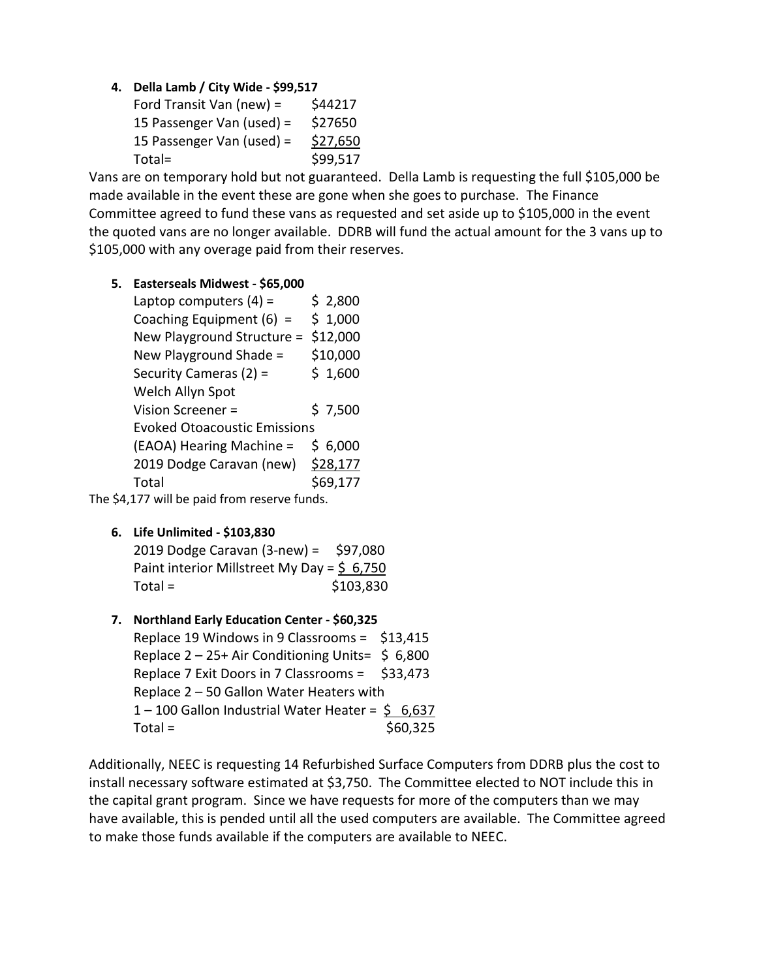# **4. Della Lamb / City Wide - \$99,517**

| Ford Transit Van (new) =  | \$44217  |
|---------------------------|----------|
| 15 Passenger Van (used) = | \$27650  |
| 15 Passenger Van (used) = | \$27,650 |
| Total=                    | \$99,517 |

Vans are on temporary hold but not guaranteed. Della Lamb is requesting the full \$105,000 be made available in the event these are gone when she goes to purchase. The Finance Committee agreed to fund these vans as requested and set aside up to \$105,000 in the event the quoted vans are no longer available. DDRB will fund the actual amount for the 3 vans up to \$105,000 with any overage paid from their reserves.

## **5. Easterseals Midwest - \$65,000**

| Laptop computers $(4)$ =            | \$2,800  |
|-------------------------------------|----------|
| Coaching Equipment $(6)$ =          | \$1,000  |
| New Playground Structure =          | \$12,000 |
| New Playground Shade =              | \$10,000 |
| Security Cameras (2) =              | \$1,600  |
| Welch Allyn Spot                    |          |
| Vision Screener =                   | \$7,500  |
| <b>Evoked Otoacoustic Emissions</b> |          |
| (EAOA) Hearing Machine =            | \$6,000  |
| 2019 Dodge Caravan (new)            | \$28,177 |
| Total                               | \$69,177 |
|                                     |          |

The \$4,177 will be paid from reserve funds.

**6. Life Unlimited - \$103,830**

2019 Dodge Caravan (3-new) = \$97,080 Paint interior Millstreet My Day =  $\frac{6}{5}$  6,750  $Total =$  \$103,830

- **7. Northland Early Education Center - \$60,325**
	- Replace 19 Windows in 9 Classrooms = \$13,415 Replace  $2 - 25 +$  Air Conditioning Units=  $\frac{6}{5}$  6,800 Replace 7 Exit Doors in 7 Classrooms = \$33,473 Replace 2 – 50 Gallon Water Heaters with  $1 - 100$  Gallon Industrial Water Heater = \$ 6,637  $Total =$  \$60,325

Additionally, NEEC is requesting 14 Refurbished Surface Computers from DDRB plus the cost to install necessary software estimated at \$3,750. The Committee elected to NOT include this in the capital grant program. Since we have requests for more of the computers than we may have available, this is pended until all the used computers are available. The Committee agreed to make those funds available if the computers are available to NEEC.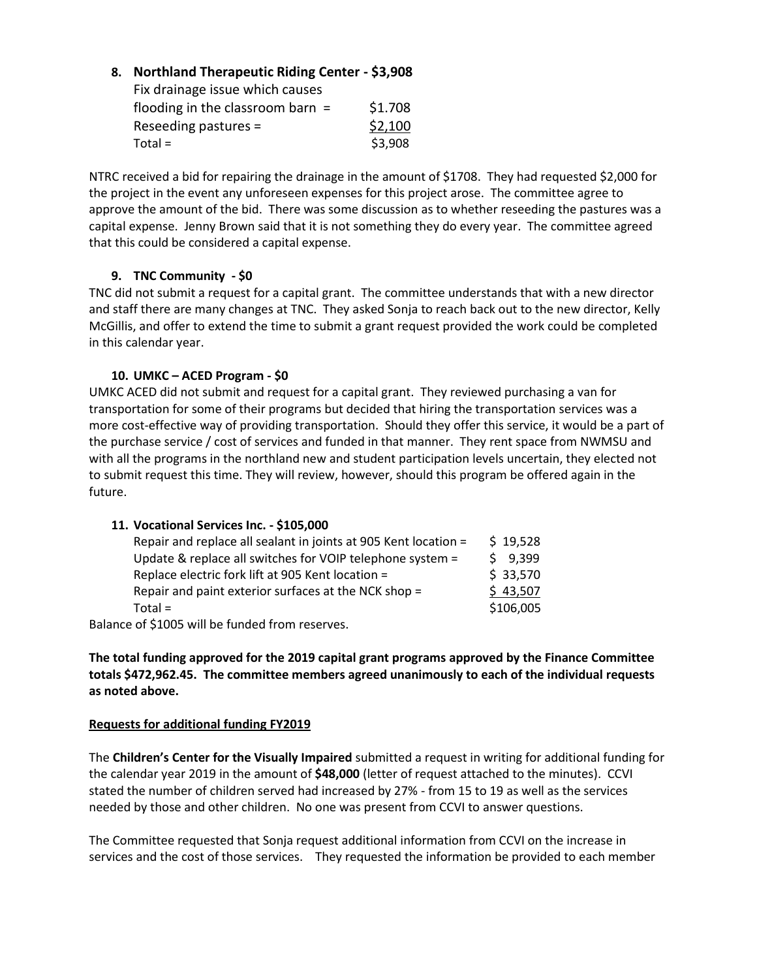## **8. Northland Therapeutic Riding Center - \$3,908**

| Fix drainage issue which causes    |         |
|------------------------------------|---------|
| flooding in the classroom barn $=$ | \$1.708 |
| Reseeding pastures $=$             | \$2,100 |
| Total =                            | \$3,908 |

NTRC received a bid for repairing the drainage in the amount of \$1708. They had requested \$2,000 for the project in the event any unforeseen expenses for this project arose. The committee agree to approve the amount of the bid. There was some discussion as to whether reseeding the pastures was a capital expense. Jenny Brown said that it is not something they do every year. The committee agreed that this could be considered a capital expense.

## **9. TNC Community - \$0**

TNC did not submit a request for a capital grant. The committee understands that with a new director and staff there are many changes at TNC. They asked Sonja to reach back out to the new director, Kelly McGillis, and offer to extend the time to submit a grant request provided the work could be completed in this calendar year.

## **10. UMKC – ACED Program - \$0**

UMKC ACED did not submit and request for a capital grant. They reviewed purchasing a van for transportation for some of their programs but decided that hiring the transportation services was a more cost-effective way of providing transportation. Should they offer this service, it would be a part of the purchase service / cost of services and funded in that manner. They rent space from NWMSU and with all the programs in the northland new and student participation levels uncertain, they elected not to submit request this time. They will review, however, should this program be offered again in the future.

#### **11. Vocational Services Inc. - \$105,000**

| Repair and replace all sealant in joints at 905 Kent location = | \$19,528  |
|-----------------------------------------------------------------|-----------|
| Update & replace all switches for VOIP telephone system =       | $5$ 9.399 |
| Replace electric fork lift at 905 Kent location =               | \$33,570  |
| Repair and paint exterior surfaces at the NCK shop =            | \$43,507  |
| $Total =$                                                       | \$106,005 |
|                                                                 |           |

Balance of \$1005 will be funded from reserves.

**The total funding approved for the 2019 capital grant programs approved by the Finance Committee totals \$472,962.45. The committee members agreed unanimously to each of the individual requests as noted above.**

#### **Requests for additional funding FY2019**

The **Children's Center for the Visually Impaired** submitted a request in writing for additional funding for the calendar year 2019 in the amount of **\$48,000** (letter of request attached to the minutes). CCVI stated the number of children served had increased by 27% - from 15 to 19 as well as the services needed by those and other children. No one was present from CCVI to answer questions.

The Committee requested that Sonja request additional information from CCVI on the increase in services and the cost of those services. They requested the information be provided to each member